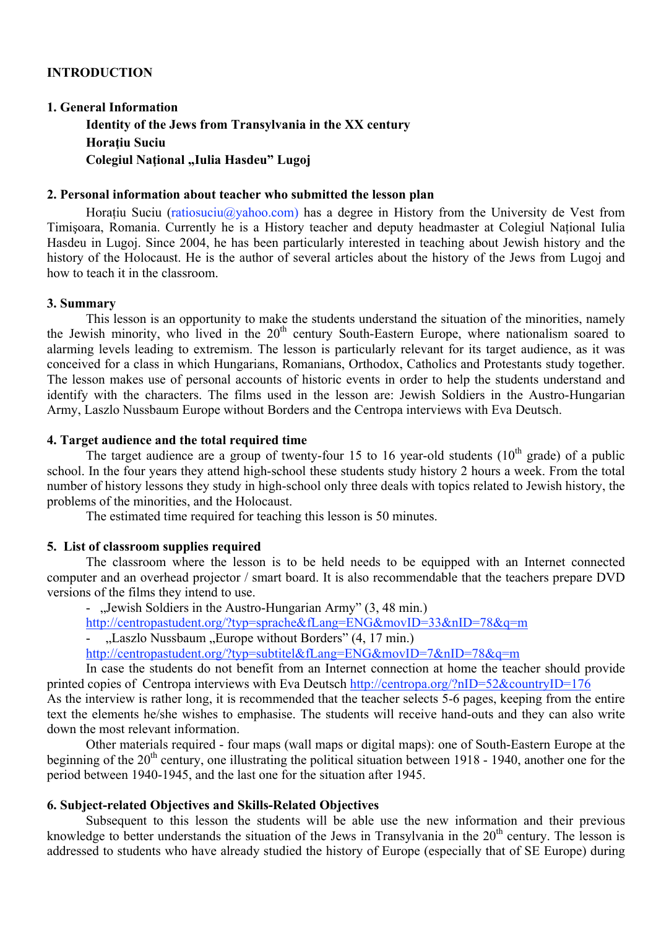# **INTRODUCTION**

#### **1. General Information**

**Identity of the Jews from Transylvania in the XX century Horaţiu Suciu Colegiul Naţional "Iulia Hasdeu" Lugoj**

### **2. Personal information about teacher who submitted the lesson plan**

Horatiu Suciu (ratiosuciu $\omega$ yahoo.com) has a degree in History from the University de Vest from Timişoara, Romania. Currently he is a History teacher and deputy headmaster at Colegiul Naţional Iulia Hasdeu in Lugoj. Since 2004, he has been particularly interested in teaching about Jewish history and the history of the Holocaust. He is the author of several articles about the history of the Jews from Lugoj and how to teach it in the classroom.

### **3. Summary**

This lesson is an opportunity to make the students understand the situation of the minorities, namely the Jewish minority, who lived in the  $20<sup>th</sup>$  century South-Eastern Europe, where nationalism soared to alarming levels leading to extremism. The lesson is particularly relevant for its target audience, as it was conceived for a class in which Hungarians, Romanians, Orthodox, Catholics and Protestants study together. The lesson makes use of personal accounts of historic events in order to help the students understand and identify with the characters. The films used in the lesson are: Jewish Soldiers in the Austro-Hungarian Army, Laszlo Nussbaum Europe without Borders and the Centropa interviews with Eva Deutsch.

## **4. Target audience and the total required time**

The target audience are a group of twenty-four 15 to 16 year-old students  $(10<sup>th</sup>$  grade) of a public school. In the four years they attend high-school these students study history 2 hours a week. From the total number of history lessons they study in high-school only three deals with topics related to Jewish history, the problems of the minorities, and the Holocaust.

The estimated time required for teaching this lesson is 50 minutes.

#### **5. List of classroom supplies required**

The classroom where the lesson is to be held needs to be equipped with an Internet connected computer and an overhead projector / smart board. It is also recommendable that the teachers prepare DVD versions of the films they intend to use.

- "Jewish Soldiers in the Austro-Hungarian Army" (3, 48 min.)

http://centropastudent.org/?typ=sprache&fLang=ENG&movID=33&nID=78&q=m

- "Laszlo Nussbaum "Europe without Borders" (4, 17 min.)

http://centropastudent.org/?typ=subtitel&fLang=ENG&movID=7&nID=78&q=m

In case the students do not benefit from an Internet connection at home the teacher should provide printed copies of Centropa interviews with Eva Deutsch http://centropa.org/?nID=52&countryID=176

As the interview is rather long, it is recommended that the teacher selects 5-6 pages, keeping from the entire text the elements he/she wishes to emphasise. The students will receive hand-outs and they can also write down the most relevant information.

Other materials required - four maps (wall maps or digital maps): one of South-Eastern Europe at the beginning of the  $20<sup>th</sup>$  century, one illustrating the political situation between 1918 - 1940, another one for the period between 1940-1945, and the last one for the situation after 1945.

## **6. Subject-related Objectives and Skills-Related Objectives**

Subsequent to this lesson the students will be able use the new information and their previous knowledge to better understands the situation of the Jews in Transylvania in the 20<sup>th</sup> century. The lesson is addressed to students who have already studied the history of Europe (especially that of SE Europe) during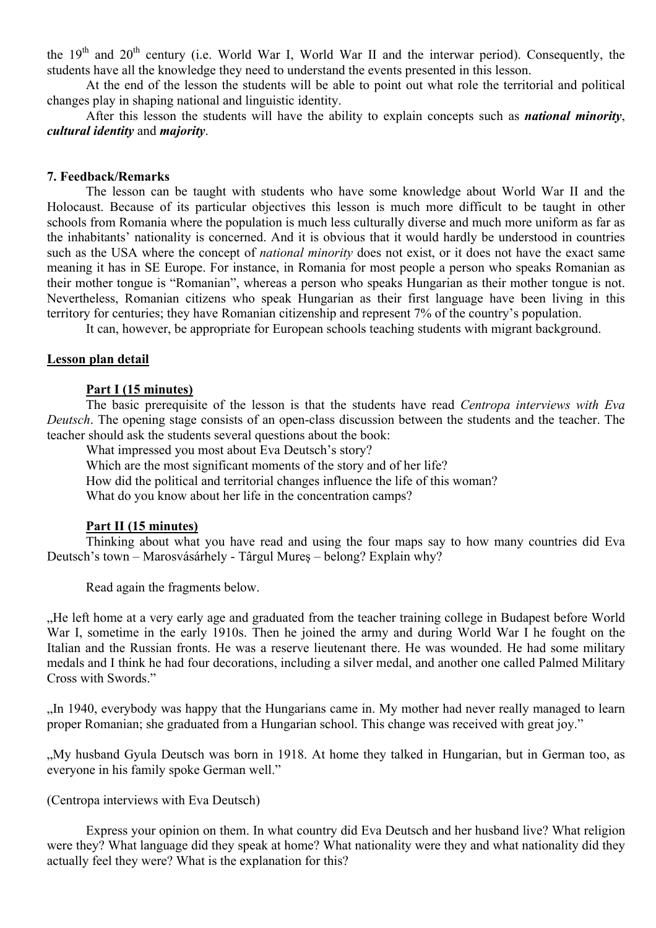the  $19<sup>th</sup>$  and  $20<sup>th</sup>$  century (i.e. World War I, World War II and the interwar period). Consequently, the students have all the knowledge they need to understand the events presented in this lesson.

At the end of the lesson the students will be able to point out what role the territorial and political changes play in shaping national and linguistic identity.

After this lesson the students will have the ability to explain concepts such as *national minority*, *cultural identity* and *majority*.

### **7. Feedback/Remarks**

The lesson can be taught with students who have some knowledge about World War II and the Holocaust. Because of its particular objectives this lesson is much more difficult to be taught in other schools from Romania where the population is much less culturally diverse and much more uniform as far as the inhabitants' nationality is concerned. And it is obvious that it would hardly be understood in countries such as the USA where the concept of *national minority* does not exist, or it does not have the exact same meaning it has in SE Europe. For instance, in Romania for most people a person who speaks Romanian as their mother tongue is "Romanian", whereas a person who speaks Hungarian as their mother tongue is not. Nevertheless, Romanian citizens who speak Hungarian as their first language have been living in this territory for centuries; they have Romanian citizenship and represent 7% of the country's population.

It can, however, be appropriate for European schools teaching students with migrant background.

### **Lesson plan detail**

### **Part I (15 minutes)**

The basic prerequisite of the lesson is that the students have read *Centropa interviews with Eva Deutsch*. The opening stage consists of an open-class discussion between the students and the teacher. The teacher should ask the students several questions about the book:

What impressed you most about Eva Deutsch's story?

Which are the most significant moments of the story and of her life?

How did the political and territorial changes influence the life of this woman?

What do you know about her life in the concentration camps?

#### **Part II (15 minutes)**

Thinking about what you have read and using the four maps say to how many countries did Eva Deutsch's town – Marosvásárhely - Târgul Mureş – belong? Explain why?

Read again the fragments below.

"He left home at a very early age and graduated from the teacher training college in Budapest before World War I, sometime in the early 1910s. Then he joined the army and during World War I he fought on the Italian and the Russian fronts. He was a reserve lieutenant there. He was wounded. He had some military medals and I think he had four decorations, including a silver medal, and another one called Palmed Military Cross with Swords."

"In 1940, everybody was happy that the Hungarians came in. My mother had never really managed to learn proper Romanian; she graduated from a Hungarian school. This change was received with great joy."

"My husband Gyula Deutsch was born in 1918. At home they talked in Hungarian, but in German too, as everyone in his family spoke German well."

### (Centropa interviews with Eva Deutsch)

Express your opinion on them. In what country did Eva Deutsch and her husband live? What religion were they? What language did they speak at home? What nationality were they and what nationality did they actually feel they were? What is the explanation for this?